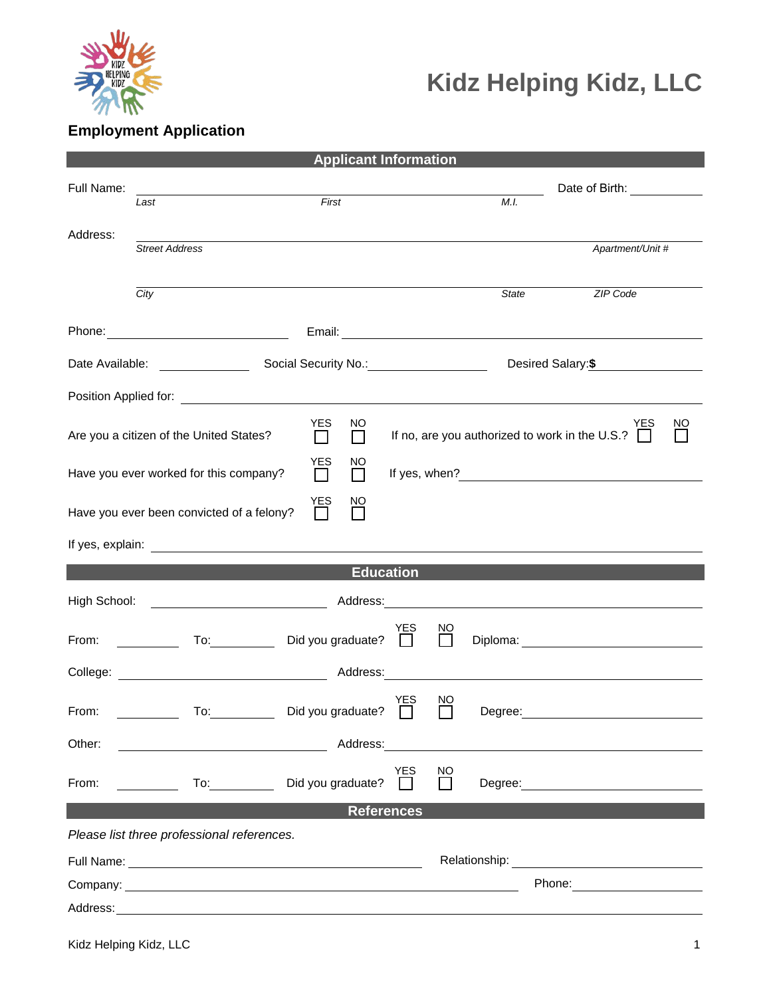

## **Kidz Helping Kidz, LLC**

## **Employment Application**

| <b>Applicant Information</b>                                                                                                                 |                                                                                                                                                                                                                                     |                                                                                                                                                                                                                                      |  |  |  |  |
|----------------------------------------------------------------------------------------------------------------------------------------------|-------------------------------------------------------------------------------------------------------------------------------------------------------------------------------------------------------------------------------------|--------------------------------------------------------------------------------------------------------------------------------------------------------------------------------------------------------------------------------------|--|--|--|--|
| Full Name:                                                                                                                                   | First<br>Last                                                                                                                                                                                                                       | Date of Birth: ____________<br>M.I.                                                                                                                                                                                                  |  |  |  |  |
|                                                                                                                                              |                                                                                                                                                                                                                                     |                                                                                                                                                                                                                                      |  |  |  |  |
| Address:                                                                                                                                     | <b>Street Address</b>                                                                                                                                                                                                               | Apartment/Unit #                                                                                                                                                                                                                     |  |  |  |  |
|                                                                                                                                              |                                                                                                                                                                                                                                     |                                                                                                                                                                                                                                      |  |  |  |  |
|                                                                                                                                              | City                                                                                                                                                                                                                                | <b>ZIP Code</b><br>State                                                                                                                                                                                                             |  |  |  |  |
|                                                                                                                                              |                                                                                                                                                                                                                                     | Email: <u>Contract Communication</u>                                                                                                                                                                                                 |  |  |  |  |
|                                                                                                                                              |                                                                                                                                                                                                                                     | Desired Salary: \$                                                                                                                                                                                                                   |  |  |  |  |
|                                                                                                                                              |                                                                                                                                                                                                                                     |                                                                                                                                                                                                                                      |  |  |  |  |
| <b>YES</b><br>NO.<br>YES<br>NO<br>If no, are you authorized to work in the U.S.? $\Box$<br>Are you a citizen of the United States?<br>П<br>П |                                                                                                                                                                                                                                     |                                                                                                                                                                                                                                      |  |  |  |  |
| <b>YES</b><br>NO<br>Have you ever worked for this company?<br>If yes, when?<br>П<br>$\Box$                                                   |                                                                                                                                                                                                                                     |                                                                                                                                                                                                                                      |  |  |  |  |
| YES<br><sub>NO</sub><br>Have you ever been convicted of a felony?<br>$\Box$                                                                  |                                                                                                                                                                                                                                     |                                                                                                                                                                                                                                      |  |  |  |  |
|                                                                                                                                              |                                                                                                                                                                                                                                     |                                                                                                                                                                                                                                      |  |  |  |  |
| <b>Education</b>                                                                                                                             |                                                                                                                                                                                                                                     |                                                                                                                                                                                                                                      |  |  |  |  |
|                                                                                                                                              |                                                                                                                                                                                                                                     |                                                                                                                                                                                                                                      |  |  |  |  |
| From:                                                                                                                                        | YES<br>Did you graduate? □<br><b>Example 1</b> To:                                                                                                                                                                                  | $\sum_{i=1}^{NQ}$                                                                                                                                                                                                                    |  |  |  |  |
|                                                                                                                                              |                                                                                                                                                                                                                                     | <u> 1980 - Jan Stein Stein Stein Stein Stein Stein Stein Stein Stein Stein Stein Stein Stein Stein Stein Stein S</u>                                                                                                                 |  |  |  |  |
| From:                                                                                                                                        | <b>YES</b><br>Did you graduate? $\Box$<br>To:                                                                                                                                                                                       | NO<br>Degree:                                                                                                                                                                                                                        |  |  |  |  |
| Other:                                                                                                                                       | Address:                                                                                                                                                                                                                            |                                                                                                                                                                                                                                      |  |  |  |  |
| From:                                                                                                                                        | <b>YES</b><br>Did you graduate?<br>$\frac{1}{\sqrt{10}}$                                                                                                                                                                            | NO<br>Degree: the contract of the contract of the contract of the contract of the contract of the contract of the contract of the contract of the contract of the contract of the contract of the contract of the contract of the co |  |  |  |  |
| <b>References</b>                                                                                                                            |                                                                                                                                                                                                                                     |                                                                                                                                                                                                                                      |  |  |  |  |
| Please list three professional references.                                                                                                   |                                                                                                                                                                                                                                     |                                                                                                                                                                                                                                      |  |  |  |  |
|                                                                                                                                              |                                                                                                                                                                                                                                     | Relationship: <u>________________________________</u>                                                                                                                                                                                |  |  |  |  |
|                                                                                                                                              | Company: <u>example and the company</u> company of the company of the company of the company of the company of the company of the company of the company of the company of the company of the company of the company of the company |                                                                                                                                                                                                                                      |  |  |  |  |
|                                                                                                                                              |                                                                                                                                                                                                                                     |                                                                                                                                                                                                                                      |  |  |  |  |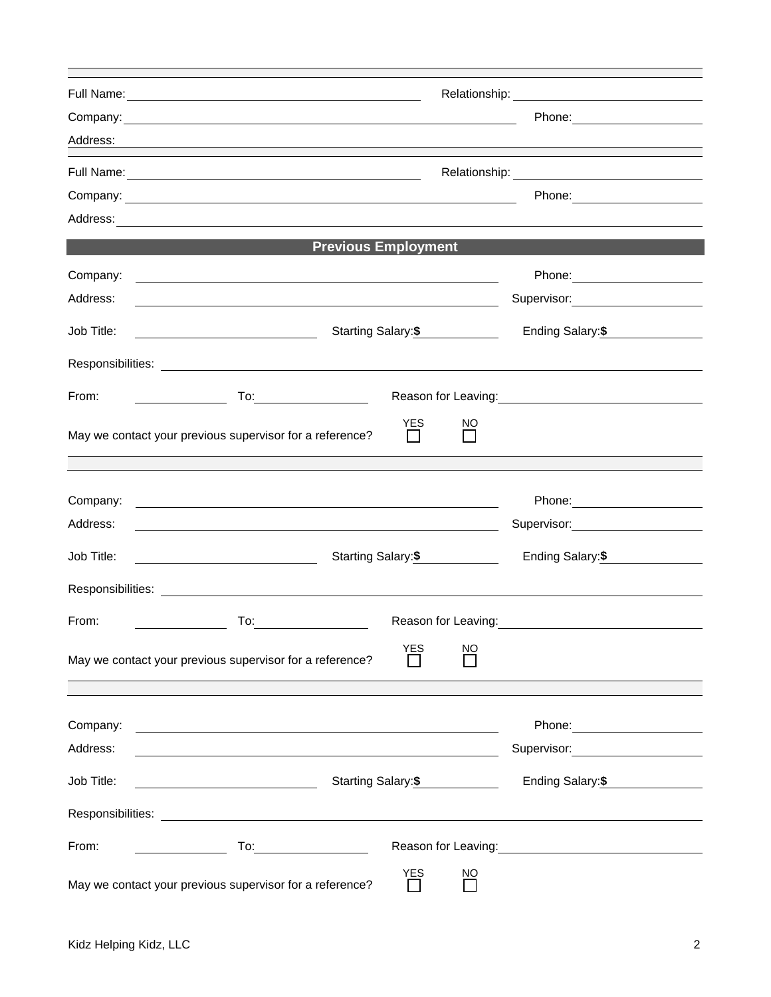|            | Relationship: Network and Container and Container and Container and Container and Container and Container and Container and Container and Container and Container and Container and Container and Container and Container and |                                                                                                                  |  |  |
|------------|-------------------------------------------------------------------------------------------------------------------------------------------------------------------------------------------------------------------------------|------------------------------------------------------------------------------------------------------------------|--|--|
|            | Company: <u>company:</u>                                                                                                                                                                                                      |                                                                                                                  |  |  |
| Address:   |                                                                                                                                                                                                                               |                                                                                                                  |  |  |
|            |                                                                                                                                                                                                                               |                                                                                                                  |  |  |
|            |                                                                                                                                                                                                                               |                                                                                                                  |  |  |
|            |                                                                                                                                                                                                                               |                                                                                                                  |  |  |
|            | <b>Previous Employment</b>                                                                                                                                                                                                    |                                                                                                                  |  |  |
| Company:   | <u> 1980 - Johann Stein, marwolaethau (b. 1980)</u>                                                                                                                                                                           |                                                                                                                  |  |  |
| Address:   |                                                                                                                                                                                                                               | Supervisor: 2000                                                                                                 |  |  |
| Job Title: | Starting Salary: \$                                                                                                                                                                                                           | Ending Salary:\$                                                                                                 |  |  |
|            |                                                                                                                                                                                                                               |                                                                                                                  |  |  |
| From:      | $\mathsf{To:}\_\_\_\_\_\_\_\_\_\_\_\_\_\_\_\_\_\_\_\_\_\_\_\_\_\_$<br><u> Listen van die Stadt van die Stadt v</u>                                                                                                            | Reason for Leaving:<br><u>Neason</u> for Leaving:                                                                |  |  |
|            | <b>YES</b><br><sub>NO</sub><br>May we contact your previous supervisor for a reference?                                                                                                                                       |                                                                                                                  |  |  |
|            |                                                                                                                                                                                                                               |                                                                                                                  |  |  |
| Company:   | <u> 1989 - Johann John Stone, markin film yn y brenin y brenin y brenin y brenin y brenin y brenin y brenin y br</u>                                                                                                          |                                                                                                                  |  |  |
| Address:   | <u> 1989 - Johann Barn, mars ann an t-Amhain an t-Amhain an t-Amhain an t-Amhain an t-Amhain an t-Amhain an t-Amh</u>                                                                                                         | Supervisor: Victor Control of Control Control Control Control Control Control Control Control Control Control Co |  |  |
| Job Title: | Starting Salary:\$<br><u> 1990 - Johann Barbara, martin a</u>                                                                                                                                                                 | Ending Salary:\$                                                                                                 |  |  |
|            |                                                                                                                                                                                                                               |                                                                                                                  |  |  |
| From:      |                                                                                                                                                                                                                               | Reason for Leaving: <b>Example 2018</b>                                                                          |  |  |
|            | <b>YES</b><br>ΝO<br>May we contact your previous supervisor for a reference?                                                                                                                                                  |                                                                                                                  |  |  |
|            |                                                                                                                                                                                                                               |                                                                                                                  |  |  |
| Company:   | <u> 1989 - Johann Stoff, deutscher Stoffen und der Stoffen und der Stoffen und der Stoffen und der Stoffen und der</u>                                                                                                        | Phone: 2000 March 2010 March 2010 March 2010                                                                     |  |  |
| Address:   | <u> 1989 - Johann Stoff, deutscher Stoff, der Stoff, der Stoff, der Stoff, der Stoff, der Stoff, der Stoff, der S</u>                                                                                                         | Supervisor: ______________________                                                                               |  |  |
| Job Title: | Starting Salary: \$<br><u> 1989 - Johann Barbara, martin a</u>                                                                                                                                                                | Ending Salary: \$                                                                                                |  |  |
|            |                                                                                                                                                                                                                               |                                                                                                                  |  |  |
| From:      |                                                                                                                                                                                                                               | Reason for Leaving: Management Control of Reason for Leaving:                                                    |  |  |
|            | <b>YES</b><br><u>NO</u><br>May we contact your previous supervisor for a reference?                                                                                                                                           |                                                                                                                  |  |  |